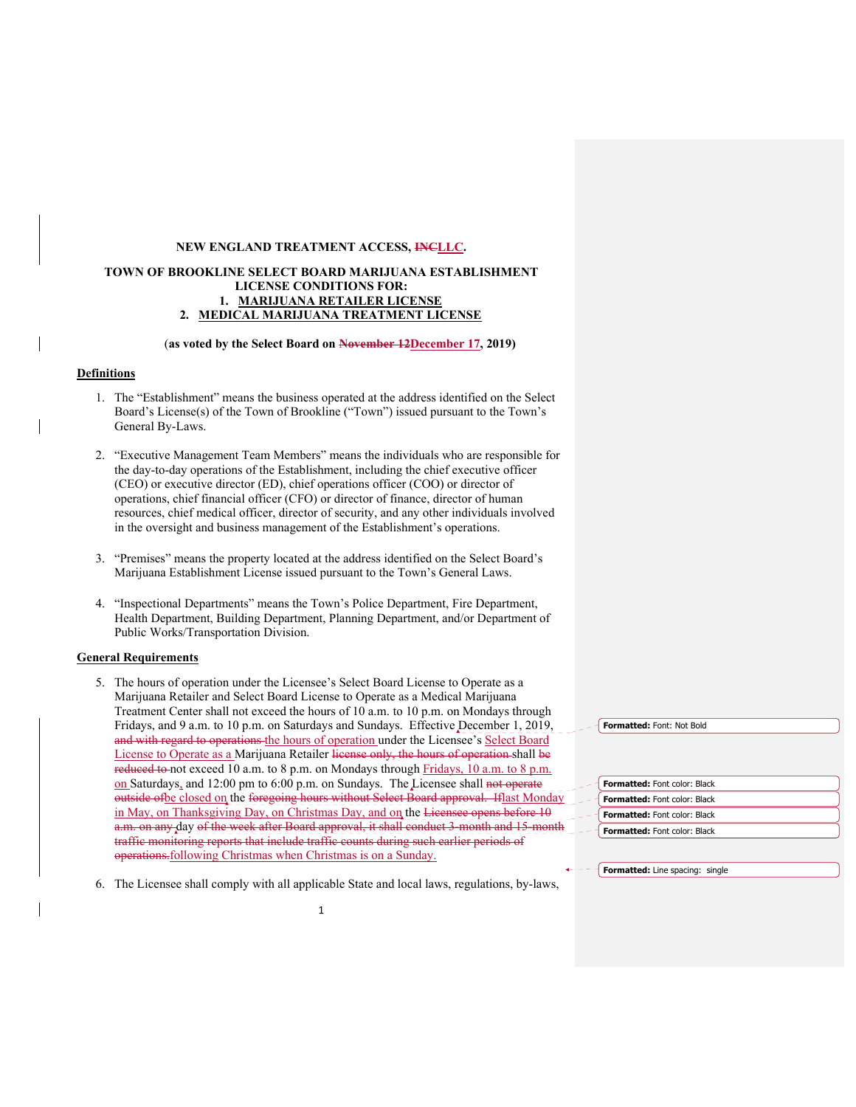# **NEW ENGLAND TREATMENT ACCESS, INCLLC.**

# **TOWN OF BROOKLINE SELECT BOARD MARIJUANA ESTABLISHMENT LICENSE CONDITIONS FOR: 1. MARIJUANA RETAILER LICENSE 2. MEDICAL MARIJUANA TREATMENT LICENSE**

## (**as voted by the Select Board on November 12December 17, 2019)**

# **Definitions**

- 1. The "Establishment" means the business operated at the address identified on the Select Board's License(s) of the Town of Brookline ("Town") issued pursuant to the Town's General By-Laws.
- 2. "Executive Management Team Members" means the individuals who are responsible for the day-to-day operations of the Establishment, including the chief executive officer (CEO) or executive director (ED), chief operations officer (COO) or director of operations, chief financial officer (CFO) or director of finance, director of human resources, chief medical officer, director of security, and any other individuals involved in the oversight and business management of the Establishment's operations.
- 3. "Premises" means the property located at the address identified on the Select Board's Marijuana Establishment License issued pursuant to the Town's General Laws.
- 4. "Inspectional Departments" means the Town's Police Department, Fire Department, Health Department, Building Department, Planning Department, and/or Department of Public Works/Transportation Division.

### **General Requirements**

- 5. The hours of operation under the Licensee's Select Board License to Operate as a Marijuana Retailer and Select Board License to Operate as a Medical Marijuana Treatment Center shall not exceed the hours of 10 a.m. to 10 p.m. on Mondays through Fridays, and 9 a.m. to 10 p.m. on Saturdays and Sundays. Effective December 1, 2019, and with regard to operations the hours of operation under the Licensee's Select Board License to Operate as a Marijuana Retailer license only, the hours of operation shall be reduced to not exceed 10 a.m. to 8 p.m. on Mondays through Fridays, 10 a.m. to 8 p.m. on Saturdays, and 12:00 pm to 6:00 p.m. on Sundays. The Licensee shall not operate outside of be closed on the foregoing hours without Select Board approval. If last Monday in May, on Thanksgiving Day, on Christmas Day, and on the Licensee opens before 10 a.m. on any day of the week after Board approval, it shall conduct 3-month and 15traffic monitoring reports that include traffic counts during such earlier periods of operations.following Christmas when Christmas is on a Sunday.
- 6. The Licensee shall comply with all applicable State and local laws, regulations, by-laws,

**Formatted:** Font: Not Bold

| <b>Formatted:</b> Font color: Black |
|-------------------------------------|
| Formatted: Font color: Black        |
| <b>Formatted:</b> Font color: Black |
| <b>Formatted: Font color: Black</b> |

**Formatted:** Line spacing: single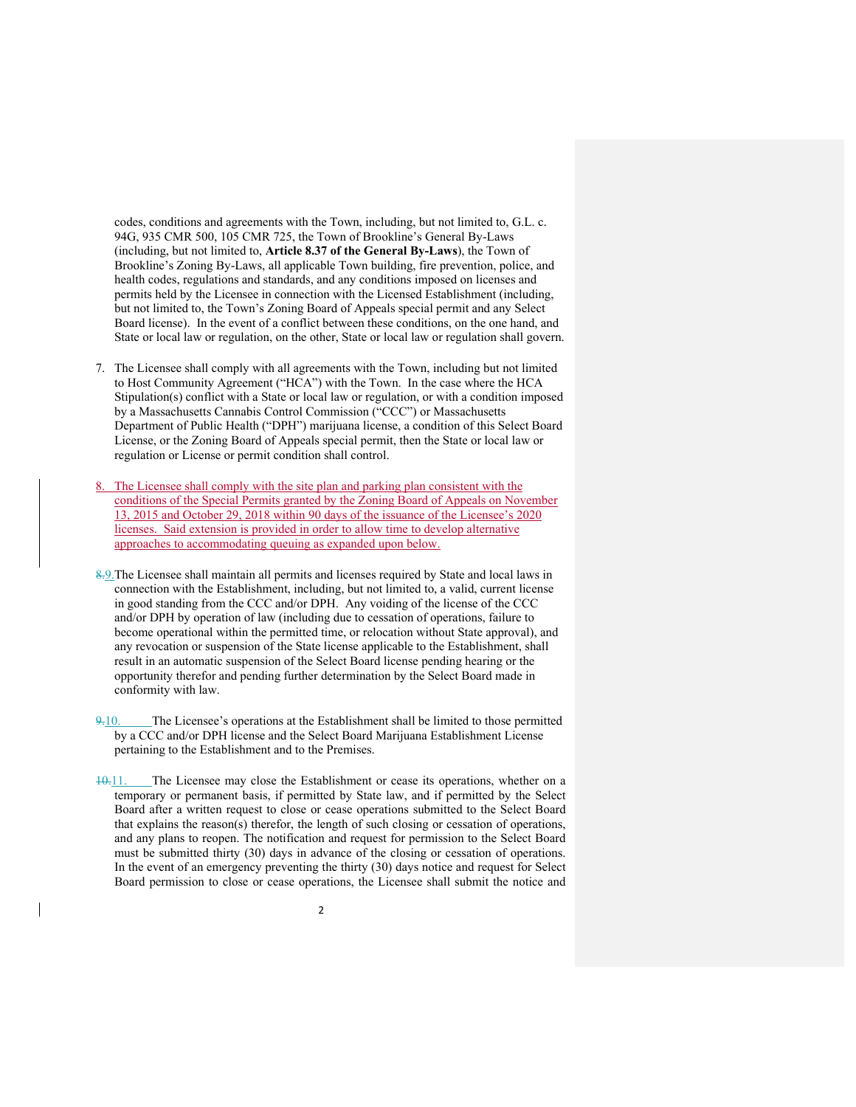codes, conditions and agreements with the Town, including, but not limited to, G.L. c. 94G, 935 CMR 500, 105 CMR 725, the Town of Brookline's General By-Laws (including, but not limited to, **Article 8.37 of the General By-Laws**), the Town of Brookline's Zoning By-Laws, all applicable Town building, fire prevention, police, and health codes, regulations and standards, and any conditions imposed on licenses and permits held by the Licensee in connection with the Licensed Establishment (including, but not limited to, the Town's Zoning Board of Appeals special permit and any Select Board license). In the event of a conflict between these conditions, on the one hand, and State or local law or regulation, on the other, State or local law or regulation shall govern.

- 7. The Licensee shall comply with all agreements with the Town, including but not limited to Host Community Agreement ("HCA") with the Town. In the case where the HCA Stipulation(s) conflict with a State or local law or regulation, or with a condition imposed by a Massachusetts Cannabis Control Commission ("CCC") or Massachusetts Department of Public Health ("DPH") marijuana license, a condition of this Select Board License, or the Zoning Board of Appeals special permit, then the State or local law or regulation or License or permit condition shall control.
- The Licensee shall comply with the site plan and parking plan consistent with the conditions of the Special Permits granted by the Zoning Board of Appeals on November 13, 2015 and October 29, 2018 within 90 days of the issuance of the Licensee's 2020 licenses. Said extension is provided in order to allow time to develop alternative approaches to accommodating queuing as expanded upon below.
- 8.9.The Licensee shall maintain all permits and licenses required by State and local laws in connection with the Establishment, including, but not limited to, a valid, current license in good standing from the CCC and/or DPH. Any voiding of the license of the CCC and/or DPH by operation of law (including due to cessation of operations, failure to become operational within the permitted time, or relocation without State approval), and any revocation or suspension of the State license applicable to the Establishment, shall result in an automatic suspension of the Select Board license pending hearing or the opportunity therefor and pending further determination by the Select Board made in conformity with law.
- 9.10. The Licensee's operations at the Establishment shall be limited to those permitted by a CCC and/or DPH license and the Select Board Marijuana Establishment License pertaining to the Establishment and to the Premises.
- 10.11. The Licensee may close the Establishment or cease its operations, whether on a temporary or permanent basis, if permitted by State law, and if permitted by the Select Board after a written request to close or cease operations submitted to the Select Board that explains the reason(s) therefor, the length of such closing or cessation of operations, and any plans to reopen. The notification and request for permission to the Select Board must be submitted thirty (30) days in advance of the closing or cessation of operations. In the event of an emergency preventing the thirty (30) days notice and request for Select Board permission to close or cease operations, the Licensee shall submit the notice and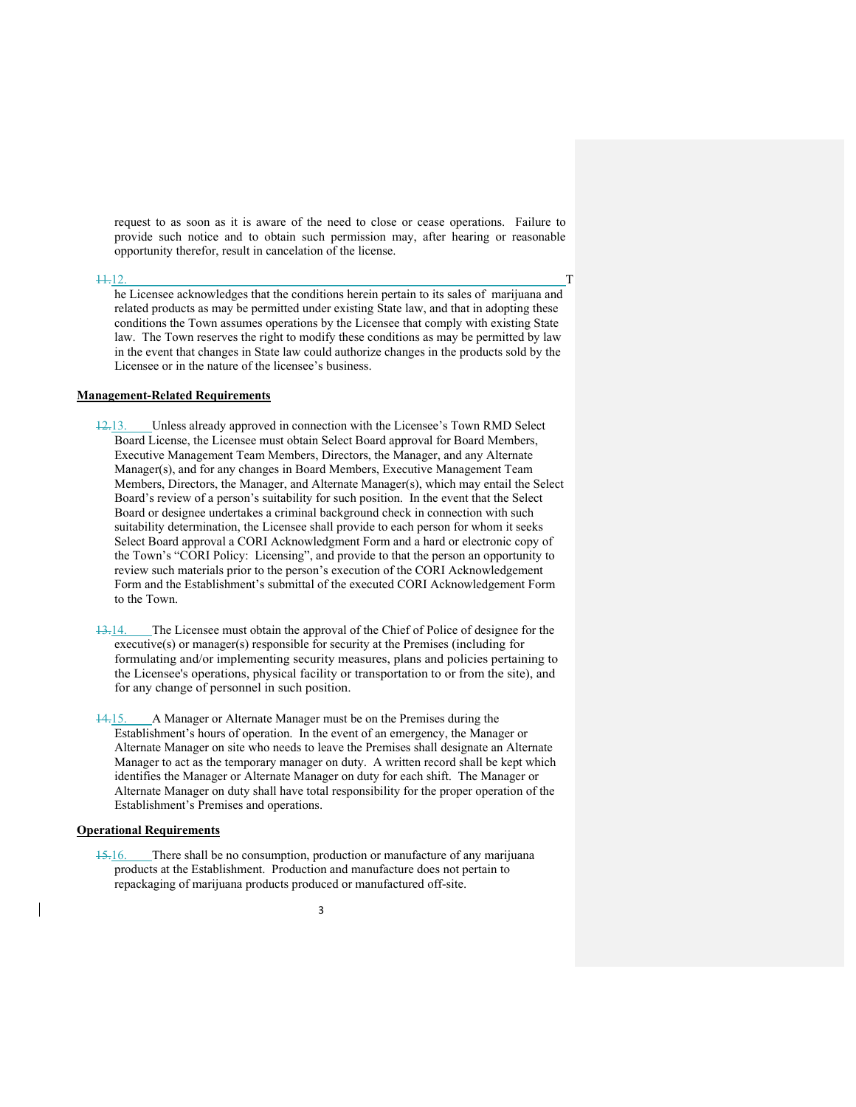request to as soon as it is aware of the need to close or cease operations. Failure to provide such notice and to obtain such permission may, after hearing or reasonable opportunity therefor, result in cancelation of the license.

#### 11.12. T

he Licensee acknowledges that the conditions herein pertain to its sales of marijuana and related products as may be permitted under existing State law, and that in adopting these conditions the Town assumes operations by the Licensee that comply with existing State law. The Town reserves the right to modify these conditions as may be permitted by law in the event that changes in State law could authorize changes in the products sold by the Licensee or in the nature of the licensee's business.

### **Management-Related Requirements**

12.13. Unless already approved in connection with the Licensee's Town RMD Select Board License, the Licensee must obtain Select Board approval for Board Members, Executive Management Team Members, Directors, the Manager, and any Alternate Manager(s), and for any changes in Board Members, Executive Management Team Members, Directors, the Manager, and Alternate Manager(s), which may entail the Select Board's review of a person's suitability for such position. In the event that the Select Board or designee undertakes a criminal background check in connection with such suitability determination, the Licensee shall provide to each person for whom it seeks Select Board approval a CORI Acknowledgment Form and a hard or electronic copy of the Town's "CORI Policy: Licensing", and provide to that the person an opportunity to review such materials prior to the person's execution of the CORI Acknowledgement Form and the Establishment's submittal of the executed CORI Acknowledgement Form to the Town.

13.14. The Licensee must obtain the approval of the Chief of Police of designee for the executive(s) or manager(s) responsible for security at the Premises (including for formulating and/or implementing security measures, plans and policies pertaining to the Licensee's operations, physical facility or transportation to or from the site), and for any change of personnel in such position.

14.15. A Manager or Alternate Manager must be on the Premises during the Establishment's hours of operation. In the event of an emergency, the Manager or Alternate Manager on site who needs to leave the Premises shall designate an Alternate Manager to act as the temporary manager on duty. A written record shall be kept which identifies the Manager or Alternate Manager on duty for each shift. The Manager or Alternate Manager on duty shall have total responsibility for the proper operation of the Establishment's Premises and operations.

# **Operational Requirements**

15.16. There shall be no consumption, production or manufacture of any marijuana products at the Establishment. Production and manufacture does not pertain to repackaging of marijuana products produced or manufactured off-site.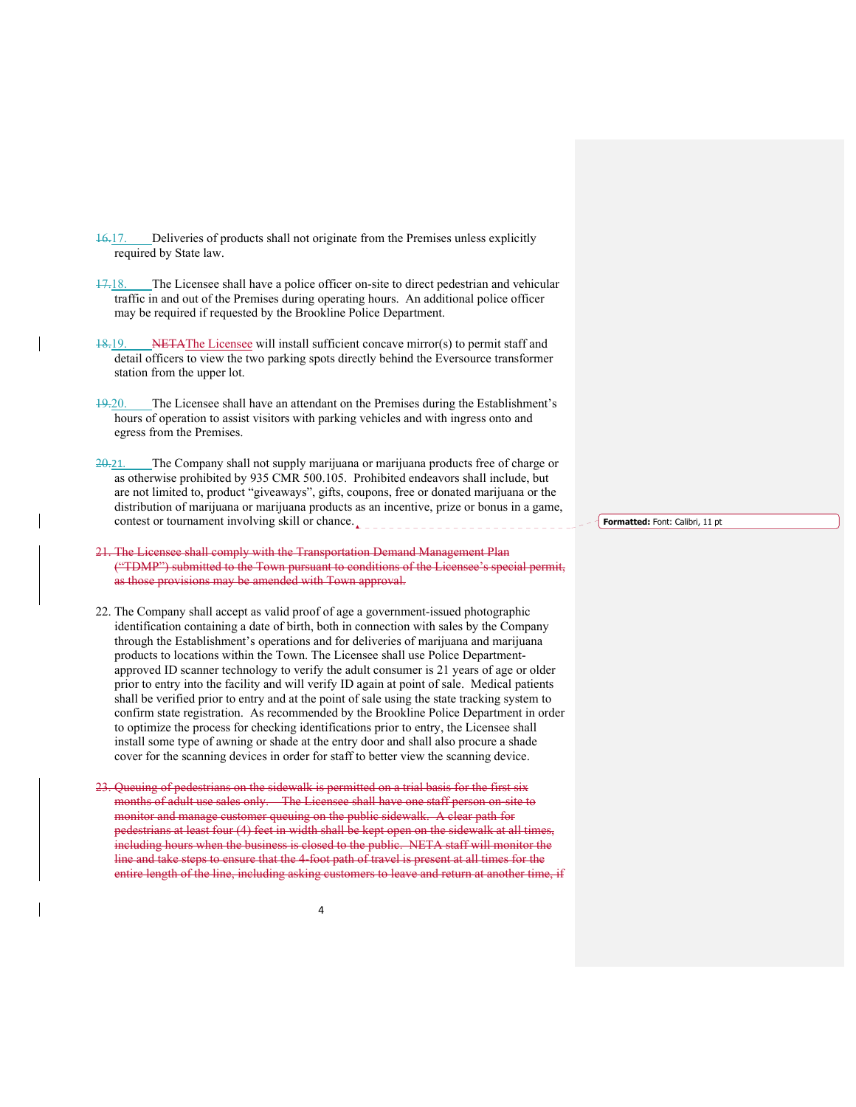- 16.17. Deliveries of products shall not originate from the Premises unless explicitly required by State law.
- 17.18. The Licensee shall have a police officer on-site to direct pedestrian and vehicular traffic in and out of the Premises during operating hours. An additional police officer may be required if requested by the Brookline Police Department.
- 18.19. NETAThe Licensee will install sufficient concave mirror(s) to permit staff and detail officers to view the two parking spots directly behind the Eversource transformer station from the upper lot.
- 19.20. The Licensee shall have an attendant on the Premises during the Establishment's hours of operation to assist visitors with parking vehicles and with ingress onto and egress from the Premises.
- 20.21. The Company shall not supply marijuana or marijuana products free of charge or as otherwise prohibited by 935 CMR 500.105. Prohibited endeavors shall include, but are not limited to, product "giveaways", gifts, coupons, free or donated marijuana or the distribution of marijuana or marijuana products as an incentive, prize or bonus in a game, contest or tournament involving skill or chance.
- 21. The Licensee shall comply with the Transportation Demand Management Plan ("TDMP") submitted to the Town pursuant to conditions of the Licensee's special permit, as those provisions may be amended with Town approval.
- 22. The Company shall accept as valid proof of age a government-issued photographic identification containing a date of birth, both in connection with sales by the Company through the Establishment's operations and for deliveries of marijuana and marijuana products to locations within the Town. The Licensee shall use Police Departmentapproved ID scanner technology to verify the adult consumer is 21 years of age or older prior to entry into the facility and will verify ID again at point of sale. Medical patients shall be verified prior to entry and at the point of sale using the state tracking system to confirm state registration. As recommended by the Brookline Police Department in order to optimize the process for checking identifications prior to entry, the Licensee shall install some type of awning or shade at the entry door and shall also procure a shade cover for the scanning devices in order for staff to better view the scanning device.
- 23. Queuing of pedestrians on the sidewalk is permitted on a trial basis for the first six months of adult use sales only. The Licensee shall have one staff person on-site to monitor and manage customer queuing on the public sidewalk. A clear path for pedestrians at least four (4) feet in width shall be kept open on the sidewalk at all times, including hours when the business is closed to the public. NETA staff will monitor the line and take steps to ensure that the 4-foot path of travel is present at all times for the entire length of the line, including asking customers to leave and return at another time

4

**Formatted:** Font: Calibri, 11 pt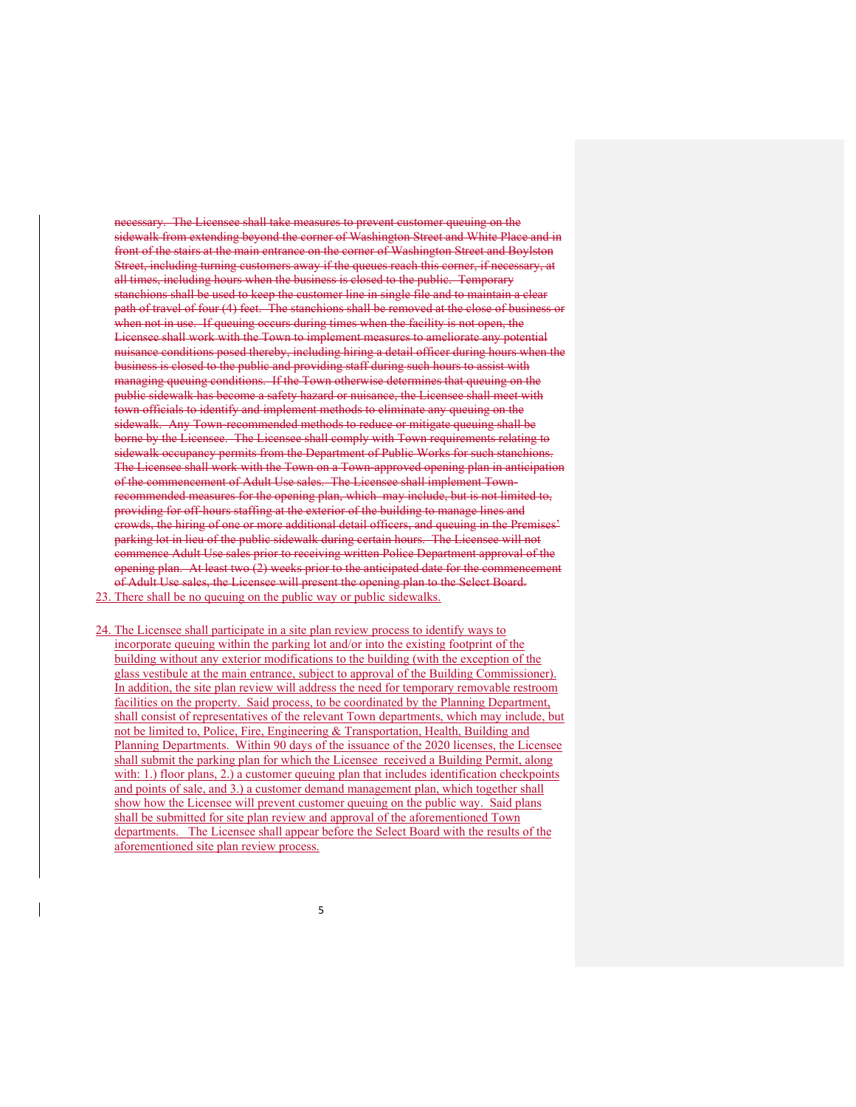necessary. The Licensee shall take measures to prevent customer queuing on the sidewalk from extending beyond the corner of Washington Street and White Place and in front of the stairs at the main entrance on the corner of Washington Street and Boylston Street, including turning customers away if the queues reach this corner, if necessary, at all times, including hours when the business is closed to the public. Temporary stanchions shall be used to keep the customer line in single file and to maintain a clear path of travel of four (4) feet. The stanchions shall be removed at the close of busine when not in use. If queuing occurs during times when the facility is not open, the Licensee shall work with the Town to implement measures to ameliorate any potential nuisance conditions posed thereby, including hiring a detail officer during hours when the business is closed to the public and providing staff during such hours to assist with managing queuing conditions. If the Town otherwise determines that queuing on the public sidewalk has become a safety hazard or nuisance, the Licensee shall meet with town officials to identify and implement methods to eliminate any queuing on the sidewalk. Any Town-recommended methods to reduce or mitigate queuing shall be borne by the Licensee. The Licensee shall comply with Town requirements relating to sidewalk occupancy permits from the Department of Public Works for such stanchions. The Licensee shall work with the Town on a Town-approved opening plan in anticipation of the commencement of Adult Use sales. The Licensee shall implement Townrecommended measures for the opening plan, which may include, but is not limited to, providing for off-hours staffing at the exterior of the building to manage lines and crowds, the hiring of one or more additional detail officers, and queuing in the Premises' parking lot in lieu of the public sidewalk during certain hours. The Licensee will not commence Adult Use sales prior to receiving written Police Department approval of the opening plan. At least two (2) weeks prior to the anticipated date for the commencement of Adult Use sales, the Licensee will present the opening plan to the Select Board. 23. There shall be no queuing on the public way or public sidewalks.

24. The Licensee shall participate in a site plan review process to identify ways to incorporate queuing within the parking lot and/or into the existing footprint of the building without any exterior modifications to the building (with the exception of the glass vestibule at the main entrance, subject to approval of the Building Commissioner). In addition, the site plan review will address the need for temporary removable restroom facilities on the property. Said process, to be coordinated by the Planning Department, shall consist of representatives of the relevant Town departments, which may include, but not be limited to, Police, Fire, Engineering & Transportation, Health, Building and Planning Departments. Within 90 days of the issuance of the 2020 licenses, the Licensee shall submit the parking plan for which the Licensee received a Building Permit, along with: 1.) floor plans, 2.) a customer queuing plan that includes identification checkpoints and points of sale, and 3.) a customer demand management plan, which together shall show how the Licensee will prevent customer queuing on the public way. Said plans shall be submitted for site plan review and approval of the aforementioned Town departments. The Licensee shall appear before the Select Board with the results of the aforementioned site plan review process.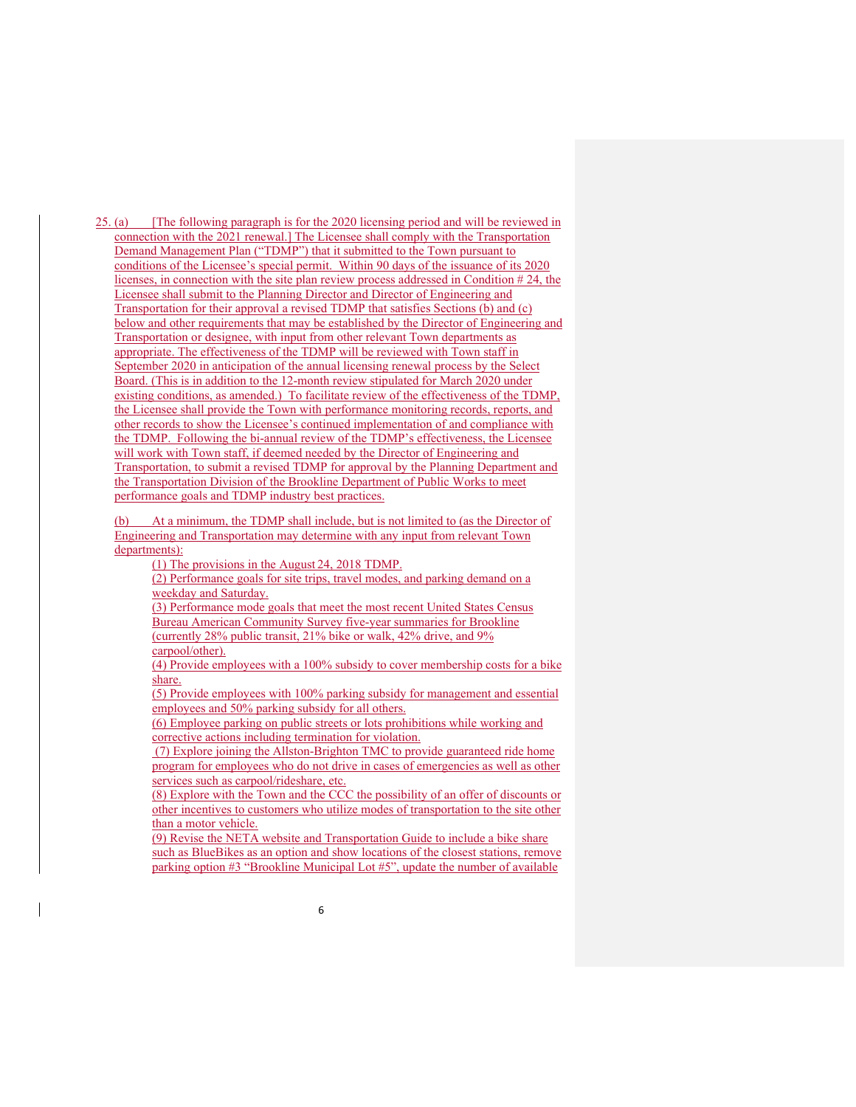25. (a) [The following paragraph is for the 2020 licensing period and will be reviewed in connection with the 2021 renewal.] The Licensee shall comply with the Transportation Demand Management Plan ("TDMP") that it submitted to the Town pursuant to conditions of the Licensee's special permit. Within 90 days of the issuance of its 2020 licenses, in connection with the site plan review process addressed in Condition # 24, the Licensee shall submit to the Planning Director and Director of Engineering and Transportation for their approval a revised TDMP that satisfies Sections (b) and (c) below and other requirements that may be established by the Director of Engineering and Transportation or designee, with input from other relevant Town departments as appropriate. The effectiveness of the TDMP will be reviewed with Town staff in September 2020 in anticipation of the annual licensing renewal process by the Select Board. (This is in addition to the 12-month review stipulated for March 2020 under existing conditions, as amended.) To facilitate review of the effectiveness of the TDMP, the Licensee shall provide the Town with performance monitoring records, reports, and other records to show the Licensee's continued implementation of and compliance with the TDMP. Following the bi-annual review of the TDMP's effectiveness, the Licensee will work with Town staff, if deemed needed by the Director of Engineering and Transportation, to submit a revised TDMP for approval by the Planning Department and the Transportation Division of the Brookline Department of Public Works to meet performance goals and TDMP industry best practices.

At a minimum, the TDMP shall include, but is not limited to (as the Director of Engineering and Transportation may determine with any input from relevant Town departments):

(1) The provisions in the August 24, 2018 TDMP.

(2) Performance goals for site trips, travel modes, and parking demand on a weekday and Saturday.

(3) Performance mode goals that meet the most recent United States Census Bureau American Community Survey five-year summaries for Brookline (currently 28% public transit, 21% bike or walk, 42% drive, and 9% carpool/other).

(4) Provide employees with a 100% subsidy to cover membership costs for a bike share.

(5) Provide employees with 100% parking subsidy for management and essential employees and 50% parking subsidy for all others.

(6) Employee parking on public streets or lots prohibitions while working and corrective actions including termination for violation.

 (7) Explore joining the Allston-Brighton TMC to provide guaranteed ride home program for employees who do not drive in cases of emergencies as well as other services such as carpool/rideshare, etc.

(8) Explore with the Town and the CCC the possibility of an offer of discounts or other incentives to customers who utilize modes of transportation to the site other than a motor vehicle.

(9) Revise the NETA website and Transportation Guide to include a bike share such as BlueBikes as an option and show locations of the closest stations, remove parking option #3 "Brookline Municipal Lot #5", update the number of available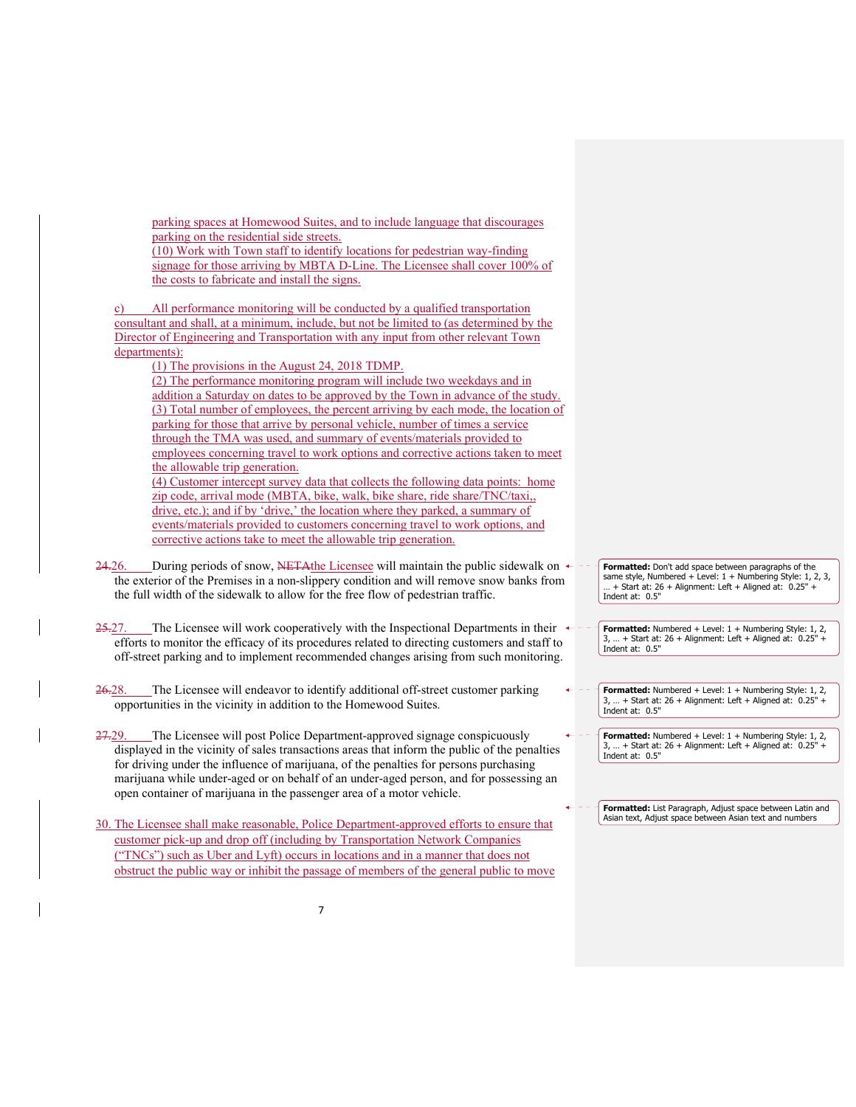| parking spaces at Homewood Suites, and to include language that discourages<br>parking on the residential side streets.<br>(10) Work with Town staff to identify locations for pedestrian way-finding<br>signage for those arriving by MBTA D-Line. The Licensee shall cover 100% of<br>the costs to fabricate and install the signs.                                                                                                                      |                                                                                                                                                                                                        |
|------------------------------------------------------------------------------------------------------------------------------------------------------------------------------------------------------------------------------------------------------------------------------------------------------------------------------------------------------------------------------------------------------------------------------------------------------------|--------------------------------------------------------------------------------------------------------------------------------------------------------------------------------------------------------|
| All performance monitoring will be conducted by a qualified transportation<br>c)<br>consultant and shall, at a minimum, include, but not be limited to (as determined by the<br>Director of Engineering and Transportation with any input from other relevant Town                                                                                                                                                                                         |                                                                                                                                                                                                        |
| departments):<br>(1) The provisions in the August 24, 2018 TDMP.<br>(2) The performance monitoring program will include two weekdays and in<br>addition a Saturday on dates to be approved by the Town in advance of the study.<br>(3) Total number of employees, the percent arriving by each mode, the location of<br>parking for those that arrive by personal vehicle, number of times a service                                                       |                                                                                                                                                                                                        |
| through the TMA was used, and summary of events/materials provided to<br>employees concerning travel to work options and corrective actions taken to meet<br>the allowable trip generation.<br>(4) Customer intercept survey data that collects the following data points: home<br>zip code, arrival mode (MBTA, bike, walk, bike share, ride share/TNC/taxi,,                                                                                             |                                                                                                                                                                                                        |
| drive, etc.); and if by 'drive,' the location where they parked, a summary of<br>events/materials provided to customers concerning travel to work options, and<br>corrective actions take to meet the allowable trip generation.                                                                                                                                                                                                                           |                                                                                                                                                                                                        |
| During periods of snow, NETA the Licensee will maintain the public sidewalk on $\leftarrow$<br>24.26.<br>the exterior of the Premises in a non-slippery condition and will remove snow banks from<br>the full width of the sidewalk to allow for the free flow of pedestrian traffic.                                                                                                                                                                      | Formatted: Don't add space between paragraphs of the<br>same style, Numbered + Level: $1 +$ Numbering Style: 1, 2, 3,<br>+ Start at: $26 +$ Alignment: Left + Aligned at: $0.25"$ +<br>Indent at: 0.5" |
| The Licensee will work cooperatively with the Inspectional Departments in their $\leftarrow$<br>25.27.<br>efforts to monitor the efficacy of its procedures related to directing customers and staff to<br>off-street parking and to implement recommended changes arising from such monitoring.                                                                                                                                                           | Formatted: Numbered + Level: 1 + Numbering Style: 1, 2,<br>3,  + Start at: 26 + Alignment: Left + Aligned at: 0.25" +<br>Indent at: 0.5"                                                               |
| The Licensee will endeavor to identify additional off-street customer parking<br><del>26.</del> 28.<br>opportunities in the vicinity in addition to the Homewood Suites.                                                                                                                                                                                                                                                                                   | Formatted: Numbered + Level: 1 + Numbering Style: 1, 2,<br>$3,  +$ Start at: 26 + Alignment: Left + Aligned at: 0.25" +<br>Indent at: 0.5"                                                             |
| The Licensee will post Police Department-approved signage conspicuously<br><del>27.</del> 29.<br>displayed in the vicinity of sales transactions areas that inform the public of the penalties<br>for driving under the influence of marijuana, of the penalties for persons purchasing<br>marijuana while under-aged or on behalf of an under-aged person, and for possessing an<br>open container of marijuana in the passenger area of a motor vehicle. | Formatted: Numbered + Level: 1 + Numbering Style: 1, 2,<br>3,  + Start at: 26 + Alignment: Left + Aligned at: 0.25" +<br>Indent at: 0.5"                                                               |
| 30. The Licensee shall make reasonable, Police Department-approved efforts to ensure that<br>customer pick-up and drop off (including by Transportation Network Companies<br>("TNCs") such as Uber and Lyft) occurs in locations and in a manner that does not                                                                                                                                                                                             | Formatted: List Paragraph, Adjust space between Latin and<br>Asian text, Adjust space between Asian text and numbers                                                                                   |

 $\mathbf{I}$ 

 $\overline{\phantom{a}}$ 

obstruct the public way or inhibit the passage of members of the general public to move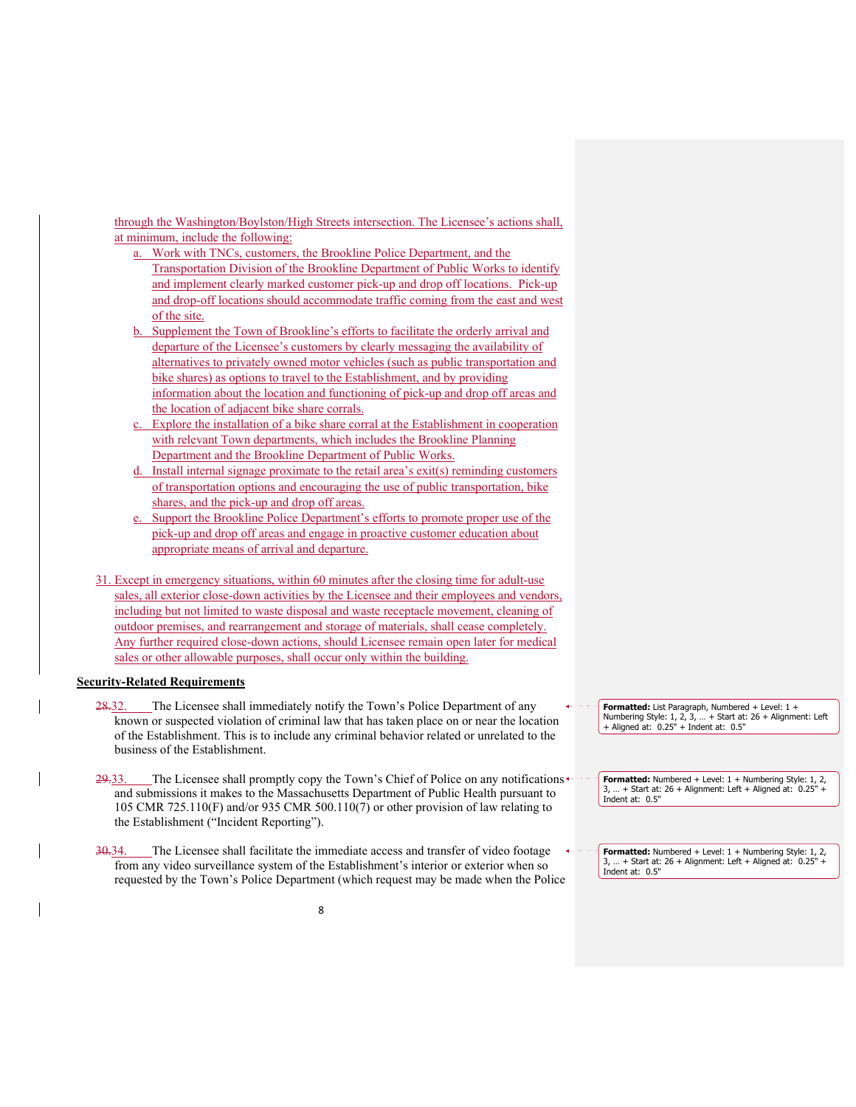through the Washington/Boylston/High Streets intersection. The Licensee's actions shall, at minimum, include the following:

- a. Work with TNCs, customers, the Brookline Police Department, and the Transportation Division of the Brookline Department of Public Works to identify and implement clearly marked customer pick-up and drop off locations. Pick-up and drop-off locations should accommodate traffic coming from the east and west of the site.
- Supplement the Town of Brookline's efforts to facilitate the orderly arrival and departure of the Licensee's customers by clearly messaging the availability of alternatives to privately owned motor vehicles (such as public transportation and bike shares) as options to travel to the Establishment, and by providing information about the location and functioning of pick-up and drop off areas and the location of adjacent bike share corrals.
- Explore the installation of a bike share corral at the Establishment in cooperation with relevant Town departments, which includes the Brookline Planning Department and the Brookline Department of Public Works.
- Install internal signage proximate to the retail area's exit(s) reminding customers of transportation options and encouraging the use of public transportation, bike shares, and the pick-up and drop off areas.
- e. Support the Brookline Police Department's efforts to promote proper use of the pick-up and drop off areas and engage in proactive customer education about appropriate means of arrival and departure.
- 31. Except in emergency situations, within 60 minutes after the closing time for adult-use sales, all exterior close-down activities by the Licensee and their employees and vendors, including but not limited to waste disposal and waste receptacle movement, cleaning of outdoor premises, and rearrangement and storage of materials, shall cease completely. Any further required close-down actions, should Licensee remain open later for medical sales or other allowable purposes, shall occur only within the building.

# **Security-Related Requirements**

- 28.32. The Licensee shall immediately notify the Town's Police Department of any known or suspected violation of criminal law that has taken place on or near the location of the Establishment. This is to include any criminal behavior related or unrelated to the business of the Establishment.
- $29-33$ . The Licensee shall promptly copy the Town's Chief of Police on any notifications and submissions it makes to the Massachusetts Department of Public Health pursuant to 105 CMR 725.110(F) and/or 935 CMR 500.110(7) or other provision of law relating to the Establishment ("Incident Reporting").
- 30.34. The Licensee shall facilitate the immediate access and transfer of video footage from any video surveillance system of the Establishment's interior or exterior when so requested by the Town's Police Department (which request may be made when the Police

**Formatted:** List Paragraph, Numbered + Level: 1 + Numbering Style: 1, 2, 3, … + Start at: 26 + Alignment: Left + Aligned at: 0.25" + Indent at: 0.5"

**Formatted:** Numbered + Level: 1 + Numbering Style: 1, 2,  $3.$  ... + Start at: 26 + Alignment: Left + Aligned at:  $0.25$ " Indent at: 0.5"

**Formatted:** Numbered + Level: 1 + Numbering Style: 1, 2, 3, … + Start at: 26 + Alignment: Left + Aligned at: 0.25" + Indent at: 0.5"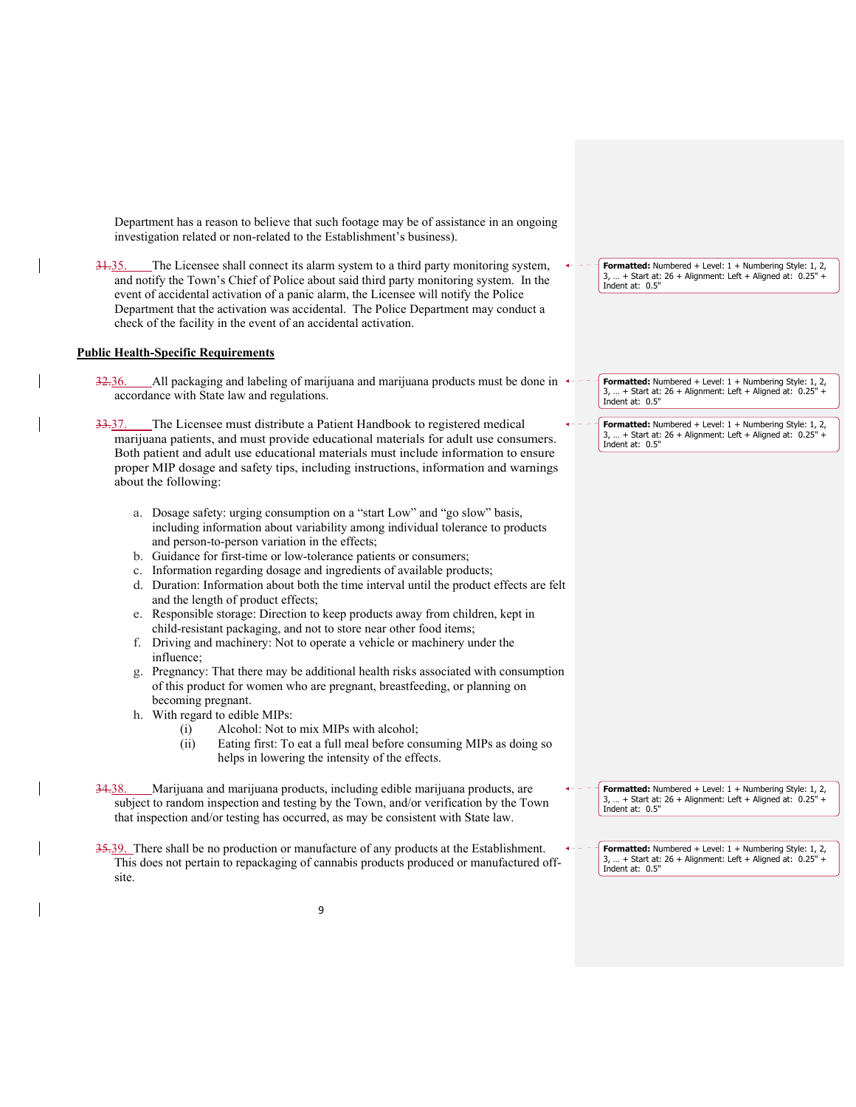Department has a reason to believe that such footage may be of assistance in an ongoing investigation related or non-related to the Establishment's business).

31.35. The Licensee shall connect its alarm system to a third party monitoring system, and notify the Town's Chief of Police about said third party monitoring system. In the event of accidental activation of a panic alarm, the Licensee will notify the Police Department that the activation was accidental. The Police Department may conduct a check of the facility in the event of an accidental activation.

### **Public Health-Specific Requirements**

- $32.36.$  All packaging and labeling of marijuana and marijuana products must be done in accordance with State law and regulations.
- 33.37. The Licensee must distribute a Patient Handbook to registered medical marijuana patients, and must provide educational materials for adult use consumers. Both patient and adult use educational materials must include information to ensure proper MIP dosage and safety tips, including instructions, information and warnings about the following:
	- a. Dosage safety: urging consumption on a "start Low" and "go slow" basis, including information about variability among individual tolerance to products and person-to-person variation in the effects;
	- b. Guidance for first-time or low-tolerance patients or consumers;
	- c. Information regarding dosage and ingredients of available products;
	- d. Duration: Information about both the time interval until the product effects are felt and the length of product effects;
	- e. Responsible storage: Direction to keep products away from children, kept in child-resistant packaging, and not to store near other food items;
	- f. Driving and machinery: Not to operate a vehicle or machinery under the influence;
	- g. Pregnancy: That there may be additional health risks associated with consumption of this product for women who are pregnant, breastfeeding, or planning on becoming pregnant.
	- h. With regard to edible MIPs:
		- (i) Alcohol: Not to mix MIPs with alcohol;
		- (ii) Eating first: To eat a full meal before consuming MIPs as doing so helps in lowering the intensity of the effects.
- 34.38. Marijuana and marijuana products, including edible marijuana products, are subject to random inspection and testing by the Town, and/or verification by the Town that inspection and/or testing has occurred, as may be consistent with State law.
- 35.39. There shall be no production or manufacture of any products at the Establishment. This does not pertain to repackaging of cannabis products produced or manufactured offsite.

| <b>Formatted:</b> Numbered + Level: $1 +$ Numbering Style: 1, 2,               |
|--------------------------------------------------------------------------------|
| 3,  + Start at: 26 + Alignment: Left + Aligned at: $0.25"$ + Indent at: $0.5"$ |
|                                                                                |

**Formatted:** Numbered + Level:  $1 +$  Numbering Style: 1, 2,  $...$  + Start at: 26 + Alignment: Left + Aligned at:  $0.25"$ Indent at: 0.5"

**Formatted:** Numbered + Level: 1 + Numbering Style: 1, 2,  $\ldots$  + Start at: 26 + Alignment: Left + Aligned at:  $0.25$ Indent at: 0.5"

**Formatted:** Numbered + Level: 1 + Numbering Style: 1, 2,  $3, ... +$  Start at:  $26 +$  Alignment: Left + Aligned at:  $0.25$ ' Indent at: 0.5"

**Formatted:** Numbered + Level:  $1 +$  Numbering Style:  $1, 2,$ <br> $\frac{3}{2} +$  Start at:  $26 +$  Alignment: Left + Aligned at: 0.25" +  $...$  + Start at: 26 + Alignment: Left + Aligned at:  $0.25"$ Indent at: 0.5"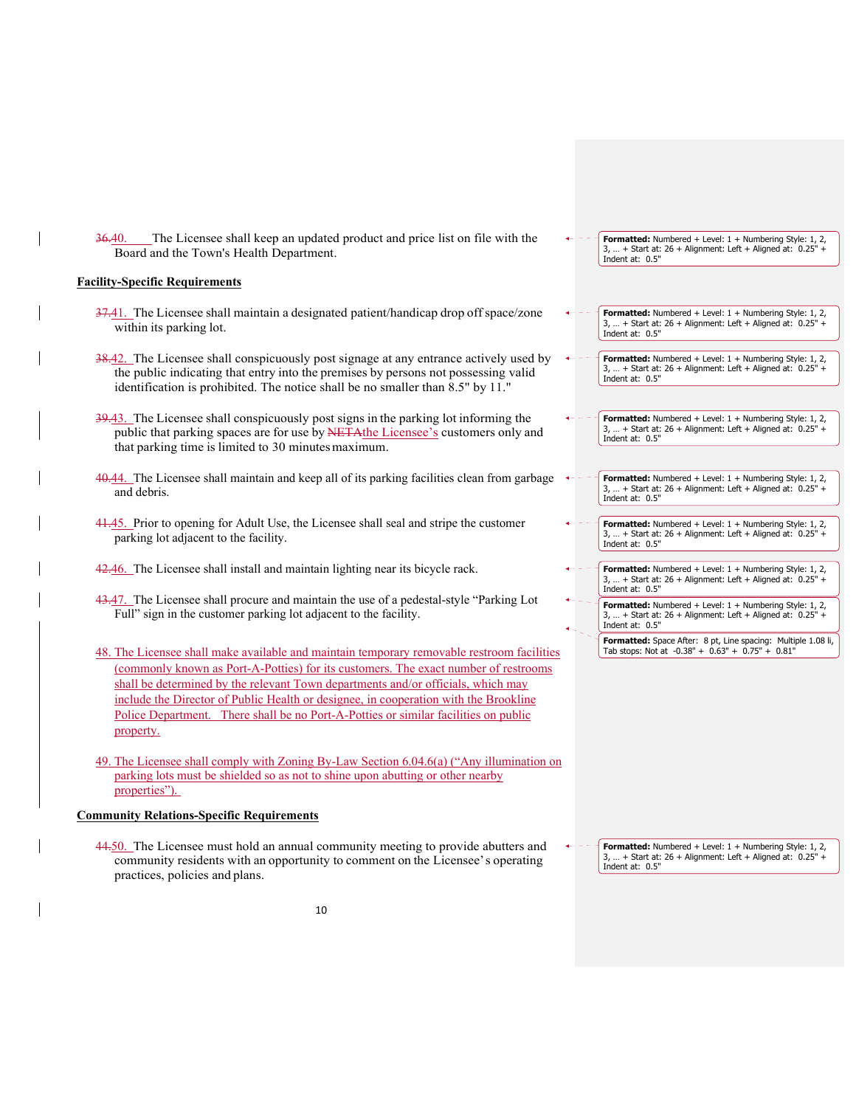36.40. The Licensee shall keep an updated product and price list on file with the Board and the Town's Health Department.

# **Facility-Specific Requirements**

- 37.41. The Licensee shall maintain a designated patient/handicap drop off space/zone within its parking lot.
- 38.42. The Licensee shall conspicuously post signage at any entrance actively used by the public indicating that entry into the premises by persons not possessing valid identification is prohibited. The notice shall be no smaller than 8.5" by 11."
- 39.43. The Licensee shall conspicuously post signs in the parking lot informing the public that parking spaces are for use by NETAthe Licensee's customers only and that parking time is limited to 30 minutes maximum.
- 40.44. The Licensee shall maintain and keep all of its parking facilities clean from garbage and debris.
- 41.45. Prior to opening for Adult Use, the Licensee shall seal and stripe the customer parking lot adjacent to the facility.
- 42.46. The Licensee shall install and maintain lighting near its bicycle rack.
- 43.47. The Licensee shall procure and maintain the use of a pedestal-style "Parking Lot Full" sign in the customer parking lot adjacent to the facility.
- 48. The Licensee shall make available and maintain temporary removable restroom facilities (commonly known as Port-A-Potties) for its customers. The exact number of restrooms shall be determined by the relevant Town departments and/or officials, which may include the Director of Public Health or designee, in cooperation with the Brookline Police Department. There shall be no Port-A-Potties or similar facilities on public property.
- 49. The Licensee shall comply with Zoning By-Law Section 6.04.6(a) ("Any illumination on parking lots must be shielded so as not to shine upon abutting or other nearby properties").

# **Community Relations-Specific Requirements**

44.50. The Licensee must hold an annual community meeting to provide abutters and community residents with an opportunity to comment on the Licensee' s operating practices, policies and plans.

**Formatted:** Numbered + Level: 1 + Numbering Style: 1, 2,  $3, ... +$  Start at: 26 + Alignment: Left + Aligned at: 0.25' Indent at: 0.5"

- **Formatted:** Numbered + Level: 1 + Numbering Style: 1, 2, 3, … + Start at: 26 + Alignment: Left + Aligned at: 0.25" + Indent at: 0.5"
- **Formatted:** Numbered + Level: 1 + Numbering Style: 1, 2,  $3, ... +$  Start at: 26 + Alignment: Left + Aligned at:  $0.25"$ Indent at: 0.5"
- **Formatted:** Numbered + Level: 1 + Numbering Style: 1, 2,  $3, ... +$  Start at:  $26 +$  Alignment: Left  $+$  Aligned at:  $0.25"$ Indent at: 0.5"
- **Formatted:** Numbered + Level: 1 + Numbering Style: 1, 2, 3, … + Start at: 26 + Alignment: Left + Aligned at: 0.25" + Indent at: 0.5"
- **Formatted:** Numbered + Level: 1 + Numbering Style: 1, 2, 3, … + Start at: 26 + Alignment: Left + Aligned at: 0.25" + Indent at: 0.5"
- **Formatted:** Numbered + Level: 1 + Numbering Style: 1, 2, 3, … + Start at: 26 + Alignment: Left + Aligned at: 0.25" + Indent at: 0.5"
- **Formatted:** Numbered + Level: 1 + Numbering Style: 1, 2, 3, … + Start at: 26 + Alignment: Left + Aligned at: 0.25" + Indent at: 0.5"
	- **Formatted:** Space After: 8 pt, Line spacing: Multiple 1.08 li, Tab stops: Not at -0.38" + 0.63" + 0.75" + 0.81"

**Formatted:** Numbered + Level: 1 + Numbering Style: 1, 2, 3, … + Start at: 26 + Alignment: Left + Aligned at: 0.25" + Indent at: 0.5"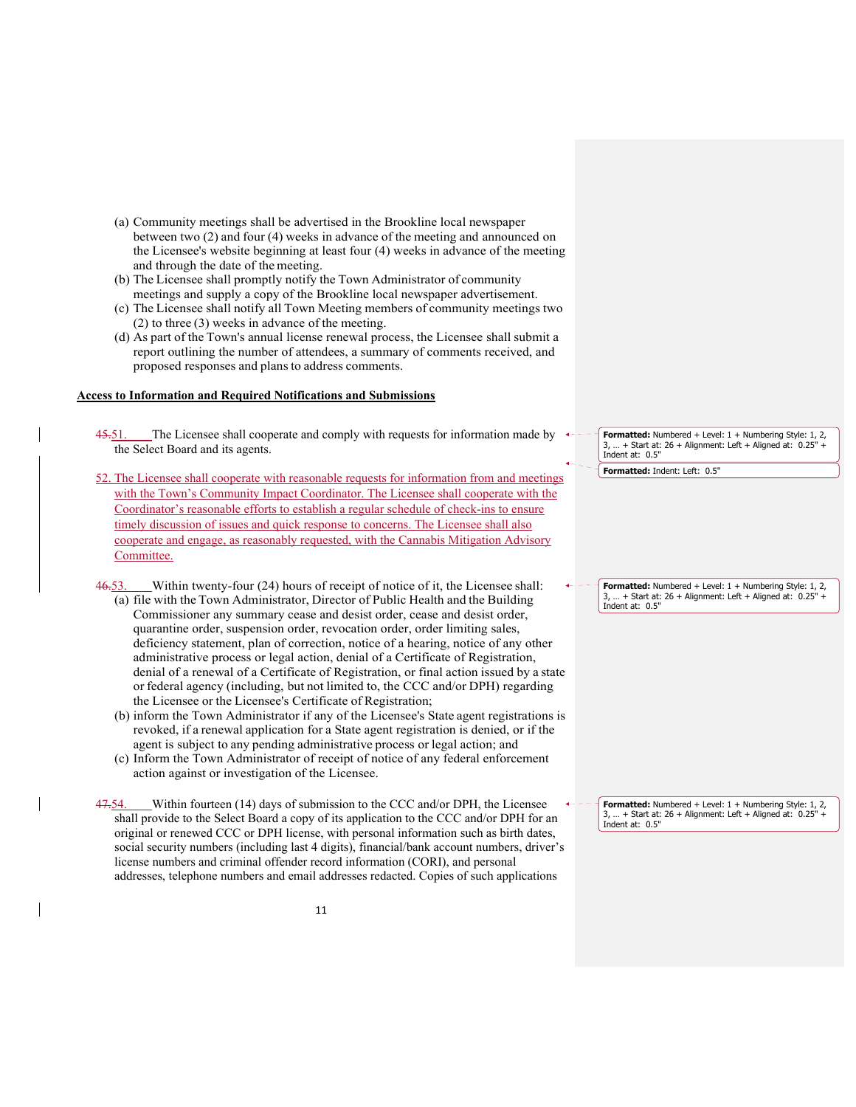- (a) Community meetings shall be advertised in the Brookline local newspaper between two (2) and four (4) weeks in advance of the meeting and announced on the Licensee's website beginning at least four (4) weeks in advance of the meeting and through the date of the meeting.
- (b) The Licensee shall promptly notify the Town Administrator of community meetings and supply a copy of the Brookline local newspaper advertisement.
- (c) The Licensee shall notify all Town Meeting members of community meetings two (2) to three (3) weeks in advance of the meeting.
- (d) As part of the Town's annual license renewal process, the Licensee shall submit a report outlining the number of attendees, a summary of comments received, and proposed responses and plans to address comments.

### **Access to Information and Required Notifications and Submissions**

- 45.51. The Licensee shall cooperate and comply with requests for information made by the Select Board and its agents.
- 52. The Licensee shall cooperate with reasonable requests for information from and meetings with the Town's Community Impact Coordinator. The Licensee shall cooperate with the Coordinator's reasonable efforts to establish a regular schedule of check-ins to ensure timely discussion of issues and quick response to concerns. The Licensee shall also cooperate and engage, as reasonably requested, with the Cannabis Mitigation Advisory Committee.
- 46.53. Within twenty-four (24) hours of receipt of notice of it, the Licensee shall: (a) file with the Town Administrator, Director of Public Health and the Building Commissioner any summary cease and desist order, cease and desist order, quarantine order, suspension order, revocation order, order limiting sales, deficiency statement, plan of correction, notice of a hearing, notice of any other administrative process or legal action, denial of a Certificate of Registration, denial of a renewal of a Certificate of Registration, or final action issued by a state or federal agency (including, but not limited to, the CCC and/or DPH) regarding the Licensee or the Licensee's Certificate of Registration;
	- (b) inform the Town Administrator if any of the Licensee's State agent registrations is revoked, if a renewal application for a State agent registration is denied, or if the agent is subject to any pending administrative process or legal action; and
	- (c) Inform the Town Administrator of receipt of notice of any federal enforcement action against or investigation of the Licensee.

47.54. Within fourteen (14) days of submission to the CCC and/or DPH, the Licensee shall provide to the Select Board a copy of its application to the CCC and/or DPH for an original or renewed CCC or DPH license, with personal information such as birth dates, social security numbers (including last 4 digits), financial/bank account numbers, driver's license numbers and criminal offender record information (CORI), and personal addresses, telephone numbers and email addresses redacted. Copies of such applications

**Formatted:** Numbered + Level: 1 + Numbering Style: 1, 2,  $...$  + Start at: 26 + Alignment: Left + Aligned at:  $0.25"$ Indent at: 0.5"

**Formatted:** Indent: Left: 0.5"

**Formatted:** Numbered + Level: 1 + Numbering Style: 1, 2, 3, … + Start at: 26 + Alignment: Left + Aligned at: 0.25" + Indent at: 0.5"

**Formatted:** Numbered + Level: 1 + Numbering Style: 1, 2, 3, ... + Start at:  $26 +$  Alignment: Left + Aligned at:  $0.25'$ Indent at: 0.5"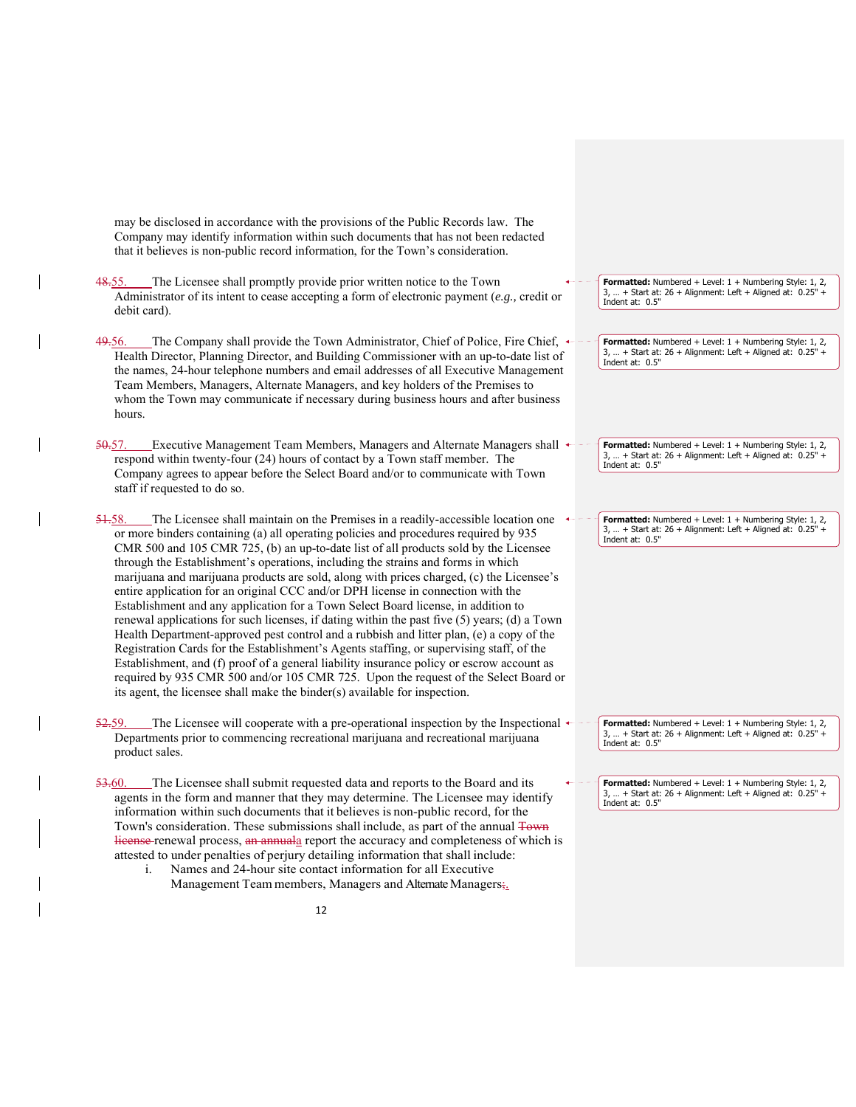| may be disclosed in accordance with the provisions of the Public Records law. The<br>Company may identify information within such documents that has not been redacted<br>that it believes is non-public record information, for the Town's consideration.<br>The Licensee shall promptly provide prior written notice to the Town<br><del>48.</del> 55.<br>Formatted: Numbered + Level: 1 + Numbering Style: 1, 2,<br>3,  + Start at: 26 + Alignment: Left + Aligned at: 0.25" +<br>Administrator of its intent to cease accepting a form of electronic payment (e.g., credit or<br>Indent at: 0.5"<br>debit card).<br>The Company shall provide the Town Administrator, Chief of Police, Fire Chief, $\leftarrow$<br><del>49.</del> 56.<br>Formatted: Numbered + Level: 1 + Numbering Style: 1, 2,<br>3,  + Start at: 26 + Alignment: Left + Aligned at: 0.25" +<br>Health Director, Planning Director, and Building Commissioner with an up-to-date list of<br>Indent at: 0.5"<br>the names, 24-hour telephone numbers and email addresses of all Executive Management<br>Team Members, Managers, Alternate Managers, and key holders of the Premises to<br>whom the Town may communicate if necessary during business hours and after business<br>hours.<br>_Executive Management Team Members, Managers and Alternate Managers shall $\leftarrow$<br><del>50.</del> 57.<br>Formatted: Numbered + Level: 1 + Numbering Style: 1, 2,<br>3,  + Start at: 26 + Alignment: Left + Aligned at: 0.25" +<br>respond within twenty-four (24) hours of contact by a Town staff member. The<br>Indent at: 0.5"<br>Company agrees to appear before the Select Board and/or to communicate with Town<br>staff if requested to do so.<br>The Licensee shall maintain on the Premises in a readily-accessible location one<br><del>51.</del> 58.<br>Formatted: Numbered + Level: 1 + Numbering Style: 1, 2,<br>3,  + Start at: 26 + Alignment: Left + Aligned at: 0.25" +<br>or more binders containing (a) all operating policies and procedures required by 935<br>Indent at: 0.5"<br>CMR 500 and 105 CMR 725, (b) an up-to-date list of all products sold by the Licensee<br>through the Establishment's operations, including the strains and forms in which<br>marijuana and marijuana products are sold, along with prices charged, (c) the Licensee's<br>entire application for an original CCC and/or DPH license in connection with the<br>Establishment and any application for a Town Select Board license, in addition to<br>renewal applications for such licenses, if dating within the past five (5) years; (d) a Town<br>Health Department-approved pest control and a rubbish and litter plan, (e) a copy of the<br>Registration Cards for the Establishment's Agents staffing, or supervising staff, of the<br>Establishment, and (f) proof of a general liability insurance policy or escrow account as<br>required by 935 CMR 500 and/or 105 CMR 725. Upon the request of the Select Board or<br>its agent, the licensee shall make the binder(s) available for inspection.<br>The Licensee will cooperate with a pre-operational inspection by the Inspectional $\triangleleft$<br><del>52.</del> 59.<br><b>Formatted:</b> Numbered + Level: $1 +$ Numbering Style: 1, 2, |
|--------------------------------------------------------------------------------------------------------------------------------------------------------------------------------------------------------------------------------------------------------------------------------------------------------------------------------------------------------------------------------------------------------------------------------------------------------------------------------------------------------------------------------------------------------------------------------------------------------------------------------------------------------------------------------------------------------------------------------------------------------------------------------------------------------------------------------------------------------------------------------------------------------------------------------------------------------------------------------------------------------------------------------------------------------------------------------------------------------------------------------------------------------------------------------------------------------------------------------------------------------------------------------------------------------------------------------------------------------------------------------------------------------------------------------------------------------------------------------------------------------------------------------------------------------------------------------------------------------------------------------------------------------------------------------------------------------------------------------------------------------------------------------------------------------------------------------------------------------------------------------------------------------------------------------------------------------------------------------------------------------------------------------------------------------------------------------------------------------------------------------------------------------------------------------------------------------------------------------------------------------------------------------------------------------------------------------------------------------------------------------------------------------------------------------------------------------------------------------------------------------------------------------------------------------------------------------------------------------------------------------------------------------------------------------------------------------------------------------------------------------------------------------------------------------------------------------------------------------------------------------------------------------------------------------------------------------------------------------------------------------------------------------------------------------------------------------------------------------------------------------------------------------------------------------------------------------------------------------------------------------------------------------------|
|                                                                                                                                                                                                                                                                                                                                                                                                                                                                                                                                                                                                                                                                                                                                                                                                                                                                                                                                                                                                                                                                                                                                                                                                                                                                                                                                                                                                                                                                                                                                                                                                                                                                                                                                                                                                                                                                                                                                                                                                                                                                                                                                                                                                                                                                                                                                                                                                                                                                                                                                                                                                                                                                                                                                                                                                                                                                                                                                                                                                                                                                                                                                                                                                                                                                                      |
|                                                                                                                                                                                                                                                                                                                                                                                                                                                                                                                                                                                                                                                                                                                                                                                                                                                                                                                                                                                                                                                                                                                                                                                                                                                                                                                                                                                                                                                                                                                                                                                                                                                                                                                                                                                                                                                                                                                                                                                                                                                                                                                                                                                                                                                                                                                                                                                                                                                                                                                                                                                                                                                                                                                                                                                                                                                                                                                                                                                                                                                                                                                                                                                                                                                                                      |
|                                                                                                                                                                                                                                                                                                                                                                                                                                                                                                                                                                                                                                                                                                                                                                                                                                                                                                                                                                                                                                                                                                                                                                                                                                                                                                                                                                                                                                                                                                                                                                                                                                                                                                                                                                                                                                                                                                                                                                                                                                                                                                                                                                                                                                                                                                                                                                                                                                                                                                                                                                                                                                                                                                                                                                                                                                                                                                                                                                                                                                                                                                                                                                                                                                                                                      |
|                                                                                                                                                                                                                                                                                                                                                                                                                                                                                                                                                                                                                                                                                                                                                                                                                                                                                                                                                                                                                                                                                                                                                                                                                                                                                                                                                                                                                                                                                                                                                                                                                                                                                                                                                                                                                                                                                                                                                                                                                                                                                                                                                                                                                                                                                                                                                                                                                                                                                                                                                                                                                                                                                                                                                                                                                                                                                                                                                                                                                                                                                                                                                                                                                                                                                      |
|                                                                                                                                                                                                                                                                                                                                                                                                                                                                                                                                                                                                                                                                                                                                                                                                                                                                                                                                                                                                                                                                                                                                                                                                                                                                                                                                                                                                                                                                                                                                                                                                                                                                                                                                                                                                                                                                                                                                                                                                                                                                                                                                                                                                                                                                                                                                                                                                                                                                                                                                                                                                                                                                                                                                                                                                                                                                                                                                                                                                                                                                                                                                                                                                                                                                                      |
| 3,  + Start at: 26 + Alignment: Left + Aligned at: 0.25" +<br>Departments prior to commencing recreational marijuana and recreational marijuana<br>Indent at: 0.5"<br>product sales.                                                                                                                                                                                                                                                                                                                                                                                                                                                                                                                                                                                                                                                                                                                                                                                                                                                                                                                                                                                                                                                                                                                                                                                                                                                                                                                                                                                                                                                                                                                                                                                                                                                                                                                                                                                                                                                                                                                                                                                                                                                                                                                                                                                                                                                                                                                                                                                                                                                                                                                                                                                                                                                                                                                                                                                                                                                                                                                                                                                                                                                                                                 |
| 53.60.<br>The Licensee shall submit requested data and reports to the Board and its<br><b>Formatted:</b> Numbered + Level: $1 +$ Numbering Style: 1, 2,<br>$3,  +$ Start at: 26 + Alignment: Left + Aligned at: 0.25" +<br>agents in the form and manner that they may determine. The Licensee may identify<br>Indent at: 0.5"<br>information within such documents that it believes is non-public record, for the<br>Town's consideration. These submissions shall include, as part of the annual Town<br>Hierase-renewal process, an annuala report the accuracy and completeness of which is<br>attested to under penalties of perjury detailing information that shall include:<br>Names and 24-hour site contact information for all Executive<br>i.<br>Management Team members, Managers and Alternate Managers;                                                                                                                                                                                                                                                                                                                                                                                                                                                                                                                                                                                                                                                                                                                                                                                                                                                                                                                                                                                                                                                                                                                                                                                                                                                                                                                                                                                                                                                                                                                                                                                                                                                                                                                                                                                                                                                                                                                                                                                                                                                                                                                                                                                                                                                                                                                                                                                                                                                               |
| 12                                                                                                                                                                                                                                                                                                                                                                                                                                                                                                                                                                                                                                                                                                                                                                                                                                                                                                                                                                                                                                                                                                                                                                                                                                                                                                                                                                                                                                                                                                                                                                                                                                                                                                                                                                                                                                                                                                                                                                                                                                                                                                                                                                                                                                                                                                                                                                                                                                                                                                                                                                                                                                                                                                                                                                                                                                                                                                                                                                                                                                                                                                                                                                                                                                                                                   |

 $\overline{\phantom{a}}$ 

 $\mathbf{I}$ 

 $\overline{\phantom{a}}$ 

 $\mathbf{l}$ 

 $\overline{\phantom{a}}$ 

 $\mathbf{I}$